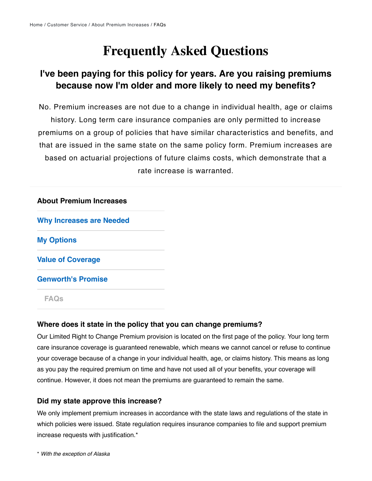## **Frequently Asked Questions**

## **I've been paying for this policy for years. Are you raising premiums because now I'm older and more likely to need my benefits?**

No. Premium increases are not due to a change in individual health, age or claims history. Long term care insurance companies are only permitted to increase premiums on a group of policies that have similar characteristics and benefits, and that are issued in the same state on the same policy form. Premium increases are based on actuarial projections of future claims costs, which demonstrate that a rate increase is warranted.

# **About Premium Increases [Why Increases are Needed](https://www.genworth.com/customer-service/ltc-premiums/why-increases-are-needed.html) [My Options](https://www.genworth.com/customer-service/ltc-premiums/my-options.html) [Value of Coverage](https://www.genworth.com/customer-service/ltc-premiums/value-of-coverage.html) [Genworth's Promise](https://www.genworth.com/customer-service/ltc-premiums/genworth-promise.html) [FAQs](https://www.genworth.com/customer-service/ltc-premiums/faqs.html)**

#### **Where does it state in the policy that you can change premiums?**

Our Limited Right to Change Premium provision is located on the first page of the policy. Your long term care insurance coverage is guaranteed renewable, which means we cannot cancel or refuse to continue your coverage because of a change in your individual health, age, or claims history. This means as long as you pay the required premium on time and have not used all of your benefits, your coverage will continue. However, it does not mean the premiums are guaranteed to remain the same.

#### **Did my state approve this increase?**

We only implement premium increases in accordance with the state laws and regulations of the state in which policies were issued. State regulation requires insurance companies to file and support premium increase requests with justification.\*